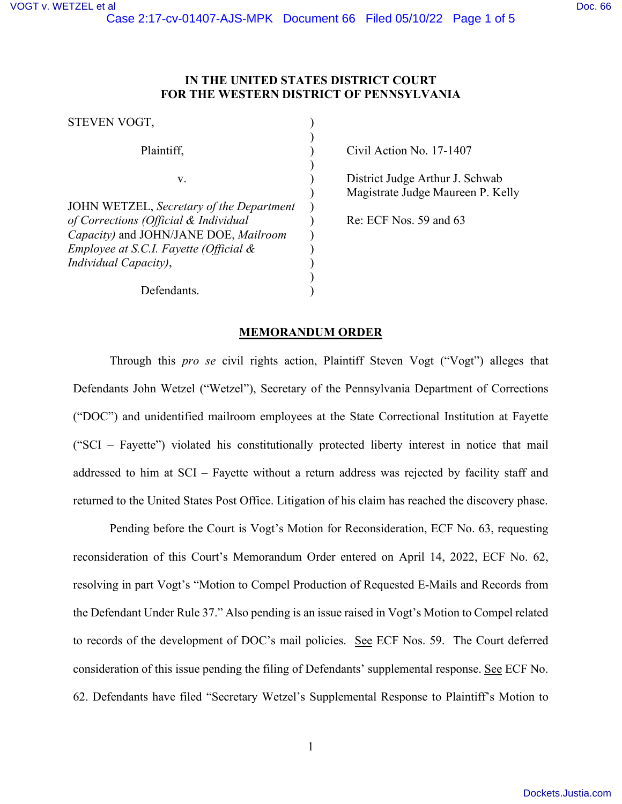# **IN THE UNITED STATES DISTRICT COURT FOR THE WESTERN DISTRICT OF PENNSYLVANIA**

| STEVEN VOGT,                                                                                                                                                                                  |  |
|-----------------------------------------------------------------------------------------------------------------------------------------------------------------------------------------------|--|
| Plaintiff,                                                                                                                                                                                    |  |
| v.                                                                                                                                                                                            |  |
| JOHN WETZEL, Secretary of the Department<br>of Corrections (Official & Individual<br>Capacity) and JOHN/JANE DOE, Mailroom<br>Employee at S.C.I. Fayette (Official &<br>Individual Capacity), |  |
| Defendants.                                                                                                                                                                                   |  |

Civil Action No. 17-1407

District Judge Arthur J. Schwab Magistrate Judge Maureen P. Kelly

Re: ECF Nos. 59 and 63

# **MEMORANDUM ORDER**

Through this *pro se* civil rights action, Plaintiff Steven Vogt ("Vogt") alleges that Defendants John Wetzel ("Wetzel"), Secretary of the Pennsylvania Department of Corrections ("DOC") and unidentified mailroom employees at the State Correctional Institution at Fayette ("SCI – Fayette") violated his constitutionally protected liberty interest in notice that mail addressed to him at SCI – Fayette without a return address was rejected by facility staff and returned to the United States Post Office. Litigation of his claim has reached the discovery phase.

Pending before the Court is Vogt's Motion for Reconsideration, ECF No. 63, requesting reconsideration of this Court's Memorandum Order entered on April 14, 2022, ECF No. 62, resolving in part Vogt's "Motion to Compel Production of Requested E-Mails and Records from the Defendant Under Rule 37." Also pending is an issue raised in Vogt's Motion to Compel related to records of the development of DOC's mail policies. See ECF Nos. 59. The Court deferred consideration of this issue pending the filing of Defendants' supplemental response. See ECF No. 62. Defendants have filed "Secretary Wetzel's Supplemental Response to Plaintiff's Motion to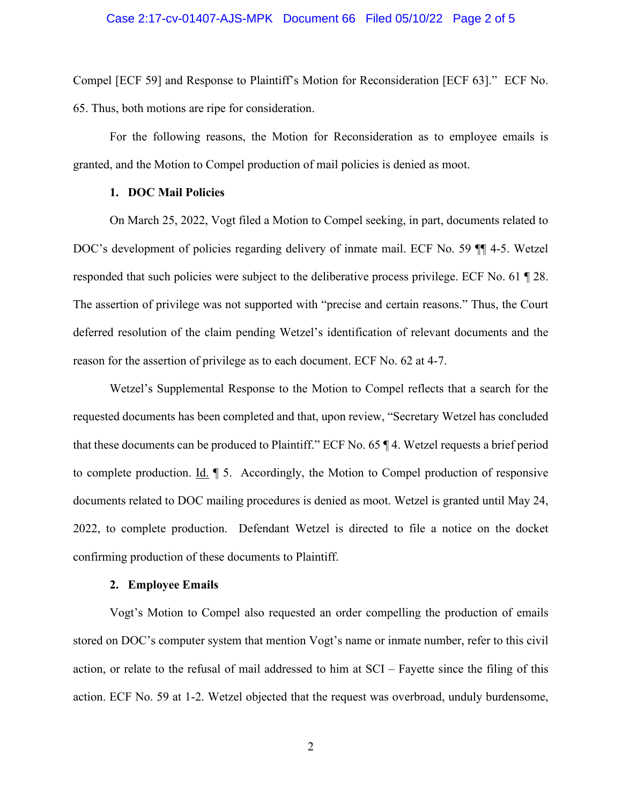Compel [ECF 59] and Response to Plaintiff's Motion for Reconsideration [ECF 63]." ECF No. 65. Thus, both motions are ripe for consideration.

For the following reasons, the Motion for Reconsideration as to employee emails is granted, and the Motion to Compel production of mail policies is denied as moot.

# **1. DOC Mail Policies**

On March 25, 2022, Vogt filed a Motion to Compel seeking, in part, documents related to DOC's development of policies regarding delivery of inmate mail. ECF No. 59 ¶¶ 4-5. Wetzel responded that such policies were subject to the deliberative process privilege. ECF No. 61 ¶ 28. The assertion of privilege was not supported with "precise and certain reasons." Thus, the Court deferred resolution of the claim pending Wetzel's identification of relevant documents and the reason for the assertion of privilege as to each document. ECF No. 62 at 4-7.

Wetzel's Supplemental Response to the Motion to Compel reflects that a search for the requested documents has been completed and that, upon review, "Secretary Wetzel has concluded that these documents can be produced to Plaintiff." ECF No. 65 ¶ 4. Wetzel requests a brief period to complete production. Id.  $\parallel$  5. Accordingly, the Motion to Compel production of responsive documents related to DOC mailing procedures is denied as moot. Wetzel is granted until May 24, 2022, to complete production. Defendant Wetzel is directed to file a notice on the docket confirming production of these documents to Plaintiff.

#### **2. Employee Emails**

Vogt's Motion to Compel also requested an order compelling the production of emails stored on DOC's computer system that mention Vogt's name or inmate number, refer to this civil action, or relate to the refusal of mail addressed to him at SCI – Fayette since the filing of this action. ECF No. 59 at 1-2. Wetzel objected that the request was overbroad, unduly burdensome,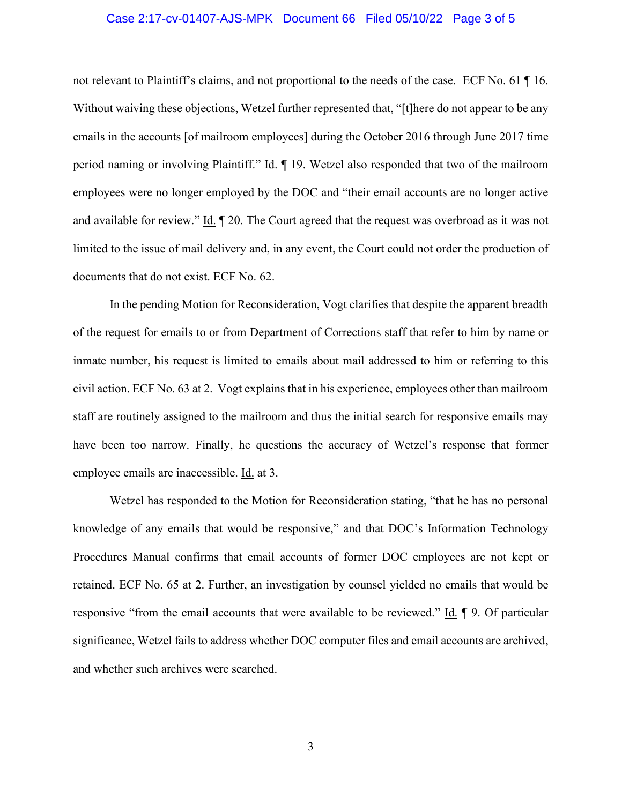### Case 2:17-cv-01407-AJS-MPK Document 66 Filed 05/10/22 Page 3 of 5

not relevant to Plaintiff's claims, and not proportional to the needs of the case. ECF No. 61 ¶ 16. Without waiving these objections, Wetzel further represented that, "[t] here do not appear to be any emails in the accounts [of mailroom employees] during the October 2016 through June 2017 time period naming or involving Plaintiff." Id. ¶ 19. Wetzel also responded that two of the mailroom employees were no longer employed by the DOC and "their email accounts are no longer active and available for review." Id. ¶ 20. The Court agreed that the request was overbroad as it was not limited to the issue of mail delivery and, in any event, the Court could not order the production of documents that do not exist. ECF No. 62.

In the pending Motion for Reconsideration, Vogt clarifies that despite the apparent breadth of the request for emails to or from Department of Corrections staff that refer to him by name or inmate number, his request is limited to emails about mail addressed to him or referring to this civil action. ECF No. 63 at 2. Vogt explains that in his experience, employees other than mailroom staff are routinely assigned to the mailroom and thus the initial search for responsive emails may have been too narrow. Finally, he questions the accuracy of Wetzel's response that former employee emails are inaccessible. Id. at 3.

Wetzel has responded to the Motion for Reconsideration stating, "that he has no personal knowledge of any emails that would be responsive," and that DOC's Information Technology Procedures Manual confirms that email accounts of former DOC employees are not kept or retained. ECF No. 65 at 2. Further, an investigation by counsel yielded no emails that would be responsive "from the email accounts that were available to be reviewed." Id.  $\parallel$  9. Of particular significance, Wetzel fails to address whether DOC computer files and email accounts are archived, and whether such archives were searched.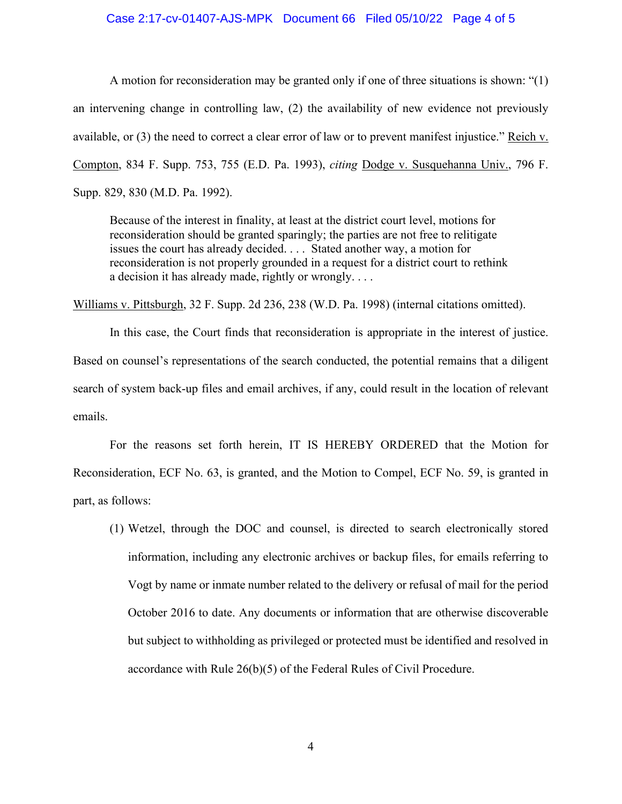### Case 2:17-cv-01407-AJS-MPK Document 66 Filed 05/10/22 Page 4 of 5

A motion for reconsideration may be granted only if one of three situations is shown: "(1) an intervening change in controlling law, (2) the availability of new evidence not previously available, or (3) the need to correct a clear error of law or to prevent manifest injustice." Reich v. Compton, 834 F. Supp. 753, 755 (E.D. Pa. 1993), *citing* Dodge v. Susquehanna Univ., 796 F. Supp. 829, 830 (M.D. Pa. 1992).

Because of the interest in finality, at least at the district court level, motions for reconsideration should be granted sparingly; the parties are not free to relitigate issues the court has already decided. . . . Stated another way, a motion for reconsideration is not properly grounded in a request for a district court to rethink a decision it has already made, rightly or wrongly. . . .

Williams v. Pittsburgh, 32 F. Supp. 2d 236, 238 (W.D. Pa. 1998) (internal citations omitted).

In this case, the Court finds that reconsideration is appropriate in the interest of justice. Based on counsel's representations of the search conducted, the potential remains that a diligent search of system back-up files and email archives, if any, could result in the location of relevant emails.

For the reasons set forth herein, IT IS HEREBY ORDERED that the Motion for Reconsideration, ECF No. 63, is granted, and the Motion to Compel, ECF No. 59, is granted in part, as follows:

(1) Wetzel, through the DOC and counsel, is directed to search electronically stored information, including any electronic archives or backup files, for emails referring to Vogt by name or inmate number related to the delivery or refusal of mail for the period October 2016 to date. Any documents or information that are otherwise discoverable but subject to withholding as privileged or protected must be identified and resolved in accordance with Rule 26(b)(5) of the Federal Rules of Civil Procedure.